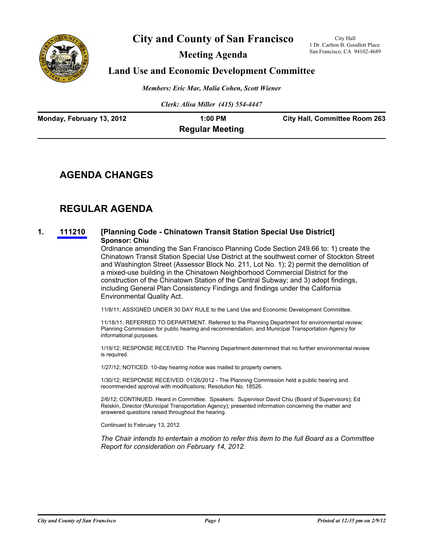

# **City and County of San Francisco**

**Meeting Agenda**

City Hall 1 Dr. Carlton B. Goodlett Place San Francisco, CA 94102-4689

## **Land Use and Economic Development Committee**

*Members: Eric Mar, Malia Cohen, Scott Wiener*

*Clerk: Alisa Miller (415) 554-4447*

| Monday, February 13, 2012 | 1:00 PM                | <b>City Hall, Committee Room 263</b> |
|---------------------------|------------------------|--------------------------------------|
|                           | <b>Regular Meeting</b> |                                      |

## **AGENDA CHANGES**

## **REGULAR AGENDA**

## **1. [111210](http://www.sfbos.org/ftp/uploadedfiles/bdsupvrs/committees/materials/LU021312_111210.pdf) [Planning Code - Chinatown Transit Station Special Use District] Sponsor: Chiu**

Ordinance amending the San Francisco Planning Code Section 249.66 to: 1) create the Chinatown Transit Station Special Use District at the southwest corner of Stockton Street and Washington Street (Assessor Block No. 211, Lot No. 1); 2) permit the demolition of a mixed-use building in the Chinatown Neighborhood Commercial District for the construction of the Chinatown Station of the Central Subway; and 3) adopt findings, including General Plan Consistency Findings and findings under the California Environmental Quality Act.

11/8/11; ASSIGNED UNDER 30 DAY RULE to the Land Use and Economic Development Committee.

11/18/11; REFERRED TO DEPARTMENT. Referred to the Planning Department for environmental review; Planning Commission for public hearing and recommendation; and Municipal Transportation Agency for informational purposes.

1/19/12; RESPONSE RECEIVED. The Planning Department determined that no further environmental review is required.

1/27/12; NOTICED. 10-day hearing notice was mailed to property owners.

1/30/12; RESPONSE RECEIVED. 01/26/2012 - The Planning Commission held a public hearing and recommended approval with modifications; Resolution No. 18526.

2/6/12; CONTINUED. Heard in Committee. Speakers: Supervisor David Chiu (Board of Supervisors); Ed Reiskin, Director (Municipal Transportation Agency); presented information concerning the matter and answered questions raised throughout the hearing.

Continued to February 13, 2012.

*The Chair intends to entertain a motion to refer this item to the full Board as a Committee Report for consideration on February 14, 2012.*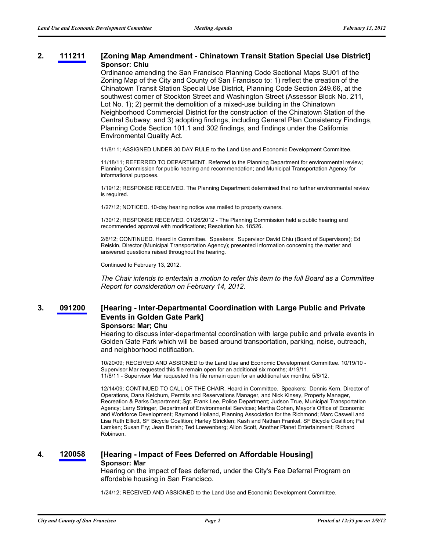## **2. [111211](http://www.sfbos.org/ftp/uploadedfiles/bdsupvrs/committees/materials/LU021312_111211.pdf) [Zoning Map Amendment - Chinatown Transit Station Special Use District] Sponsor: Chiu**

Ordinance amending the San Francisco Planning Code Sectional Maps SU01 of the Zoning Map of the City and County of San Francisco to: 1) reflect the creation of the Chinatown Transit Station Special Use District, Planning Code Section 249.66, at the southwest corner of Stockton Street and Washington Street (Assessor Block No. 211, Lot No. 1); 2) permit the demolition of a mixed-use building in the Chinatown Neighborhood Commercial District for the construction of the Chinatown Station of the Central Subway; and 3) adopting findings, including General Plan Consistency Findings, Planning Code Section 101.1 and 302 findings, and findings under the California Environmental Quality Act.

11/8/11; ASSIGNED UNDER 30 DAY RULE to the Land Use and Economic Development Committee.

11/18/11; REFERRED TO DEPARTMENT. Referred to the Planning Department for environmental review; Planning Commission for public hearing and recommendation; and Municipal Transportation Agency for informational purposes.

1/19/12; RESPONSE RECEIVED. The Planning Department determined that no further environmental review is required.

1/27/12; NOTICED. 10-day hearing notice was mailed to property owners.

1/30/12; RESPONSE RECEIVED. 01/26/2012 - The Planning Commission held a public hearing and recommended approval with modifications; Resolution No. 18526.

2/6/12; CONTINUED. Heard in Committee. Speakers: Supervisor David Chiu (Board of Supervisors); Ed Reiskin, Director (Municipal Transportation Agency); presented information concerning the matter and answered questions raised throughout the hearing.

Continued to February 13, 2012.

*The Chair intends to entertain a motion to refer this item to the full Board as a Committee Report for consideration on February 14, 2012.*

#### **[Hearing - Inter-Departmental Coordination with Large Public and Private Events in Golden Gate Park] 3. [091200](http://www.sfbos.org/ftp/uploadedfiles/bdsupvrs/committees/materials/LU021312_091200.pdf)**

### **Sponsors: Mar; Chu**

Hearing to discuss inter-departmental coordination with large public and private events in Golden Gate Park which will be based around transportation, parking, noise, outreach, and neighborhood notification.

10/20/09; RECEIVED AND ASSIGNED to the Land Use and Economic Development Committee. 10/19/10 - Supervisor Mar requested this file remain open for an additional six months; 4/19/11. 11/8/11 - Supervisor Mar requested this file remain open for an additional six months; 5/8/12.

12/14/09; CONTINUED TO CALL OF THE CHAIR. Heard in Committee. Speakers: Dennis Kern, Director of Operations, Dana Ketchum, Permits and Reservations Manager, and Nick Kinsey, Property Manager, Recreation & Parks Department; Sgt. Frank Lee, Police Department; Judson True, Municipal Transportation Agency; Larry Stringer, Department of Environmental Services; Martha Cohen, Mayor's Office of Economic and Workforce Development; Raymond Holland, Planning Association for the Richmond; Marc Caswell and Lisa Ruth Elliott, SF Bicycle Coalition; Harley Stricklen; Kash and Nathan Frankel, SF Bicycle Coalition; Pat Lamken; Susan Fry; Jean Barish; Ted Loewenberg; Allon Scott, Another Planet Entertainment; Richard Robinson.

### **4. [120058](http://www.sfbos.org/ftp/uploadedfiles/bdsupvrs/committees/materials/LU021312_120058.pdf) [Hearing - Impact of Fees Deferred on Affordable Housing] Sponsor: Mar**

Hearing on the impact of fees deferred, under the City's Fee Deferral Program on affordable housing in San Francisco.

1/24/12; RECEIVED AND ASSIGNED to the Land Use and Economic Development Committee.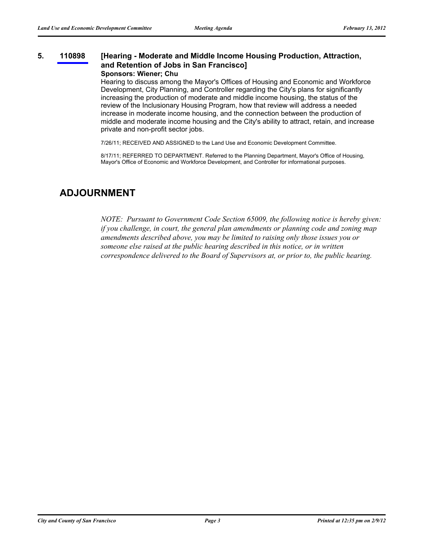#### **[Hearing - Moderate and Middle Income Housing Production, Attraction, and Retention of Jobs in San Francisco] 5. [110898](http://www.sfbos.org/ftp/uploadedfiles/bdsupvrs/committees/materials/LU021312_110898.pdf) Sponsors: Wiener; Chu**

Hearing to discuss among the Mayor's Offices of Housing and Economic and Workforce Development, City Planning, and Controller regarding the City's plans for significantly increasing the production of moderate and middle income housing, the status of the review of the Inclusionary Housing Program, how that review will address a needed increase in moderate income housing, and the connection between the production of middle and moderate income housing and the City's ability to attract, retain, and increase private and non-profit sector jobs.

7/26/11; RECEIVED AND ASSIGNED to the Land Use and Economic Development Committee.

8/17/11; REFERRED TO DEPARTMENT. Referred to the Planning Department, Mayor's Office of Housing, Mayor's Office of Economic and Workforce Development, and Controller for informational purposes.

## **ADJOURNMENT**

*NOTE: Pursuant to Government Code Section 65009, the following notice is hereby given: if you challenge, in court, the general plan amendments or planning code and zoning map amendments described above, you may be limited to raising only those issues you or someone else raised at the public hearing described in this notice, or in written correspondence delivered to the Board of Supervisors at, or prior to, the public hearing.*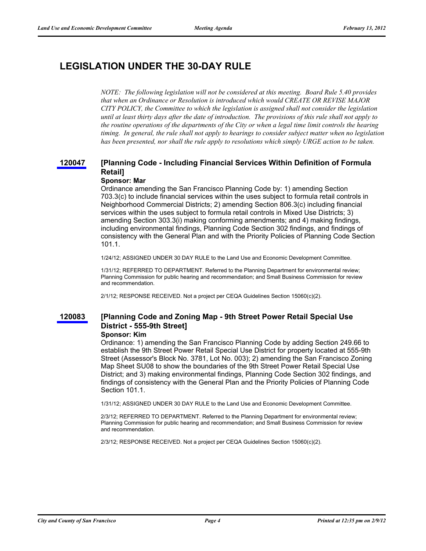## **LEGISLATION UNDER THE 30-DAY RULE**

*NOTE: The following legislation will not be considered at this meeting. Board Rule 5.40 provides that when an Ordinance or Resolution is introduced which would CREATE OR REVISE MAJOR CITY POLICY, the Committee to which the legislation is assigned shall not consider the legislation until at least thirty days after the date of introduction. The provisions of this rule shall not apply to the routine operations of the departments of the City or when a legal time limit controls the hearing timing. In general, the rule shall not apply to hearings to consider subject matter when no legislation has been presented, nor shall the rule apply to resolutions which simply URGE action to be taken.*

#### **[Planning Code - Including Financial Services Within Definition of Formula Retail] [120047](http://www.sfbos.org/ftp/uploadedfiles/bdsupvrs/committees/materials/LU120047TDR.pdf)**

### **Sponsor: Mar**

Ordinance amending the San Francisco Planning Code by: 1) amending Section 703.3(c) to include financial services within the uses subject to formula retail controls in Neighborhood Commercial Districts; 2) amending Section 806.3(c) including financial services within the uses subject to formula retail controls in Mixed Use Districts; 3) amending Section 303.3(i) making conforming amendments; and 4) making findings, including environmental findings, Planning Code Section 302 findings, and findings of consistency with the General Plan and with the Priority Policies of Planning Code Section 101.1.

1/24/12; ASSIGNED UNDER 30 DAY RULE to the Land Use and Economic Development Committee.

1/31/12; REFERRED TO DEPARTMENT. Referred to the Planning Department for environmental review; Planning Commission for public hearing and recommendation; and Small Business Commission for review and recommendation.

2/1/12; RESPONSE RECEIVED. Not a project per CEQA Guidelines Section 15060(c)(2).

#### **[Planning Code and Zoning Map - 9th Street Power Retail Special Use District - 555-9th Street] [120083](http://www.sfbos.org/ftp/uploadedfiles/bdsupvrs/committees/materials/LU120083tdr.pdf)**

### **Sponsor: Kim**

Ordinance: 1) amending the San Francisco Planning Code by adding Section 249.66 to establish the 9th Street Power Retail Special Use District for property located at 555-9th Street (Assessor's Block No. 3781, Lot No. 003); 2) amending the San Francisco Zoning Map Sheet SU08 to show the boundaries of the 9th Street Power Retail Special Use District; and 3) making environmental findings, Planning Code Section 302 findings, and findings of consistency with the General Plan and the Priority Policies of Planning Code Section 101.1.

1/31/12; ASSIGNED UNDER 30 DAY RULE to the Land Use and Economic Development Committee.

2/3/12; REFERRED TO DEPARTMENT. Referred to the Planning Department for environmental review; Planning Commission for public hearing and recommendation; and Small Business Commission for review and recommendation.

2/3/12; RESPONSE RECEIVED. Not a project per CEQA Guidelines Section 15060(c)(2).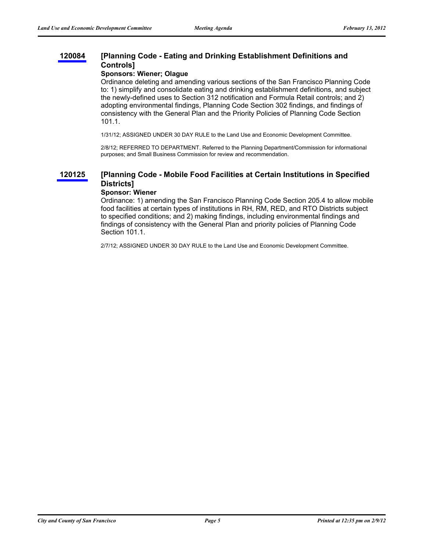#### **[Planning Code - Eating and Drinking Establishment Definitions and Controls] [120084](http://www.sfbos.org/ftp/uploadedfiles/bdsupvrs/committees/materials/LU120084tdr.pdf)**

### **Sponsors: Wiener; Olague**

Ordinance deleting and amending various sections of the San Francisco Planning Code to: 1) simplify and consolidate eating and drinking establishment definitions, and subject the newly-defined uses to Section 312 notification and Formula Retail controls; and 2) adopting environmental findings, Planning Code Section 302 findings, and findings of consistency with the General Plan and the Priority Policies of Planning Code Section 101.1.

1/31/12; ASSIGNED UNDER 30 DAY RULE to the Land Use and Economic Development Committee.

2/8/12; REFERRED TO DEPARTMENT. Referred to the Planning Department/Commission for informational purposes; and Small Business Commission for review and recommendation.

#### **[Planning Code - Mobile Food Facilities at Certain Institutions in Specified Districts] [120125](http://www.sfbos.org/ftp/uploadedfiles/bdsupvrs/committees/materials/LU120125tdr.pdf)**

## **Sponsor: Wiener**

Ordinance: 1) amending the San Francisco Planning Code Section 205.4 to allow mobile food facilities at certain types of institutions in RH, RM, RED, and RTO Districts subject to specified conditions; and 2) making findings, including environmental findings and findings of consistency with the General Plan and priority policies of Planning Code Section 101.1.

2/7/12; ASSIGNED UNDER 30 DAY RULE to the Land Use and Economic Development Committee.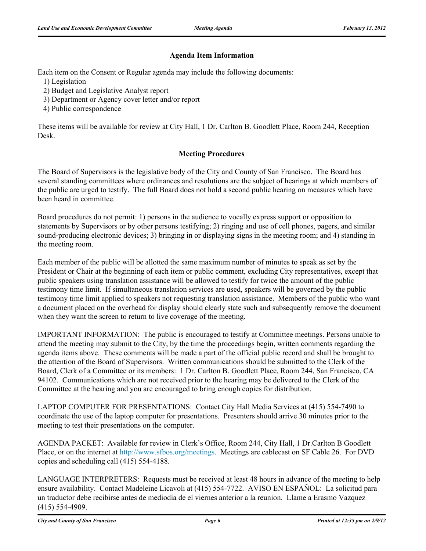## **Agenda Item Information**

Each item on the Consent or Regular agenda may include the following documents:

- 1) Legislation
- 2) Budget and Legislative Analyst report
- 3) Department or Agency cover letter and/or report
- 4) Public correspondence

These items will be available for review at City Hall, 1 Dr. Carlton B. Goodlett Place, Room 244, Reception Desk.

## **Meeting Procedures**

The Board of Supervisors is the legislative body of the City and County of San Francisco. The Board has several standing committees where ordinances and resolutions are the subject of hearings at which members of the public are urged to testify. The full Board does not hold a second public hearing on measures which have been heard in committee.

Board procedures do not permit: 1) persons in the audience to vocally express support or opposition to statements by Supervisors or by other persons testifying; 2) ringing and use of cell phones, pagers, and similar sound-producing electronic devices; 3) bringing in or displaying signs in the meeting room; and 4) standing in the meeting room.

Each member of the public will be allotted the same maximum number of minutes to speak as set by the President or Chair at the beginning of each item or public comment, excluding City representatives, except that public speakers using translation assistance will be allowed to testify for twice the amount of the public testimony time limit. If simultaneous translation services are used, speakers will be governed by the public testimony time limit applied to speakers not requesting translation assistance. Members of the public who want a document placed on the overhead for display should clearly state such and subsequently remove the document when they want the screen to return to live coverage of the meeting.

IMPORTANT INFORMATION: The public is encouraged to testify at Committee meetings. Persons unable to attend the meeting may submit to the City, by the time the proceedings begin, written comments regarding the agenda items above. These comments will be made a part of the official public record and shall be brought to the attention of the Board of Supervisors. Written communications should be submitted to the Clerk of the Board, Clerk of a Committee or its members: 1 Dr. Carlton B. Goodlett Place, Room 244, San Francisco, CA 94102. Communications which are not received prior to the hearing may be delivered to the Clerk of the Committee at the hearing and you are encouraged to bring enough copies for distribution.

LAPTOP COMPUTER FOR PRESENTATIONS: Contact City Hall Media Services at (415) 554-7490 to coordinate the use of the laptop computer for presentations. Presenters should arrive 30 minutes prior to the meeting to test their presentations on the computer.

AGENDA PACKET: Available for review in Clerk's Office, Room 244, City Hall, 1 Dr.Carlton B Goodlett Place, or on the internet at http://www.sfbos.org/meetings. Meetings are cablecast on SF Cable 26. For DVD copies and scheduling call (415) 554-4188.

LANGUAGE INTERPRETERS: Requests must be received at least 48 hours in advance of the meeting to help ensure availability. Contact Madeleine Licavoli at (415) 554-7722. AVISO EN ESPAÑOL: La solicitud para un traductor debe recibirse antes de mediodía de el viernes anterior a la reunion. Llame a Erasmo Vazquez (415) 554-4909.